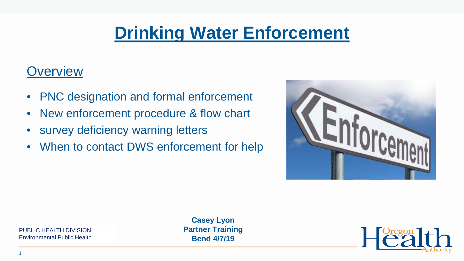## **Drinking Water Enforcement**

### **Overview**

- PNC designation and formal enforcement
- New enforcement procedure & flow chart
- survey deficiency warning letters
- When to contact DWS enforcement for help



Place *That Louis Creator*<br>Environmental Public Health PUBLIC HEALTH DIVISION

**Casey Lyon Partner Training Bend 4/7/19**

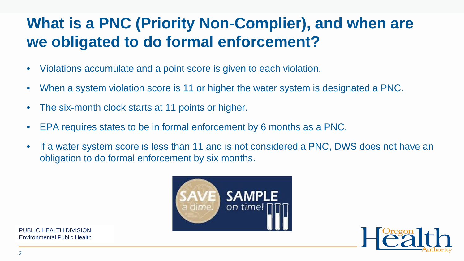### **What is a PNC (Priority Non-Complier), and when are we obligated to do formal enforcement?**

- Violations accumulate and a point score is given to each violation.
- When a system violation score is 11 or higher the water system is designated a PNC.
- The six-month clock starts at 11 points or higher.
- EPA requires states to be in formal enforcement by 6 months as a PNC.
- If a water system score is less than 11 and is not considered a PNC, DWS does not have an obligation to do formal enforcement by six months.

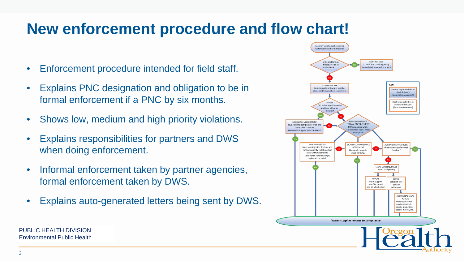### **New enforcement procedure and flow chart!**

- Enforcement procedure intended for field staff.
- Explains PNC designation and obligation to be in formal enforcement if a PNC by six months.
- Shows low, medium and high priority violations.
- Explains responsibilities for partners and DWS when doing enforcement.
- Informal enforcement taken by partner agencies, formal enforcement taken by DWS.
- Explains auto-generated letters being sent by DWS.

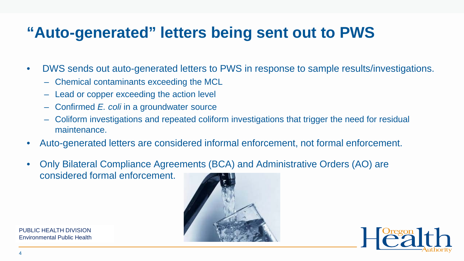### **"Auto-generated" letters being sent out to PWS**

- DWS sends out auto-generated letters to PWS in response to sample results/investigations.
	- Chemical contaminants exceeding the MCL
	- Lead or copper exceeding the action level
	- Confirmed *E. coli* in a groundwater source
	- Coliform investigations and repeated coliform investigations that trigger the need for residual maintenance.
- Auto-generated letters are considered informal enforcement, not formal enforcement.
- Only Bilateral Compliance Agreements (BCA) and Administrative Orders (AO) are considered formal enforcement.



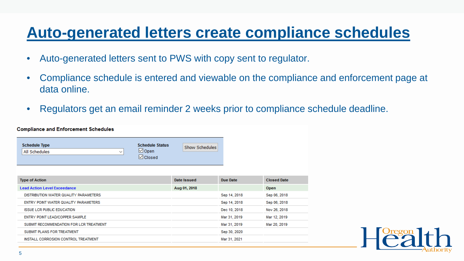### **Auto-generated letters create compliance schedules**

- Auto-generated letters sent to PWS with copy sent to regulator.
- Compliance schedule is entered and viewable on the compliance and enforcement page at data online.
- Regulators get an email reminder 2 weeks prior to compliance schedule deadline.

#### **Compliance and Enforcement Schedules**

| <b>Schedule Type</b>          | <b>Schedule Status</b> | Show Schedules |
|-------------------------------|------------------------|----------------|
| All Schedules<br>$\checkmark$ | $\boxdot$ Open         |                |
|                               | $\vee$ Closed          |                |

| Date Issued  | Due Date     | <b>Closed Date</b> |
|--------------|--------------|--------------------|
| Aug 01, 2018 |              | Open               |
|              | Sep 14, 2018 | Sep 06, 2018       |
|              | Sep 14, 2018 | Sep 06, 2018       |
|              | Dec 10, 2018 | Nov 26, 2018       |
|              | Mar 31, 2019 | Mar 12, 2019       |
|              | Mar 31, 2019 | Mar 20, 2019       |
|              | Sep 30, 2020 |                    |
|              | Mar 31, 2021 |                    |
|              |              |                    |

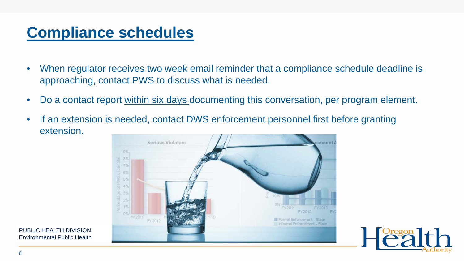### **Compliance schedules**

- When regulator receives two week email reminder that a compliance schedule deadline is approaching, contact PWS to discuss what is needed.
- Do a contact report within six days documenting this conversation, per program element.
- If an extension is needed, contact DWS enforcement personnel first before granting extension.

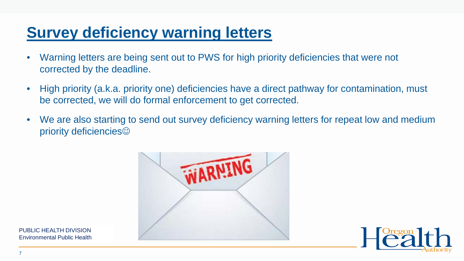### **Survey deficiency warning letters**

- Warning letters are being sent out to PWS for high priority deficiencies that were not corrected by the deadline.
- High priority (a.k.a. priority one) deficiencies have a direct pathway for contamination, must be corrected, we will do formal enforcement to get corrected.
- We are also starting to send out survey deficiency warning letters for repeat low and medium priority deficiencies<sup>©</sup>